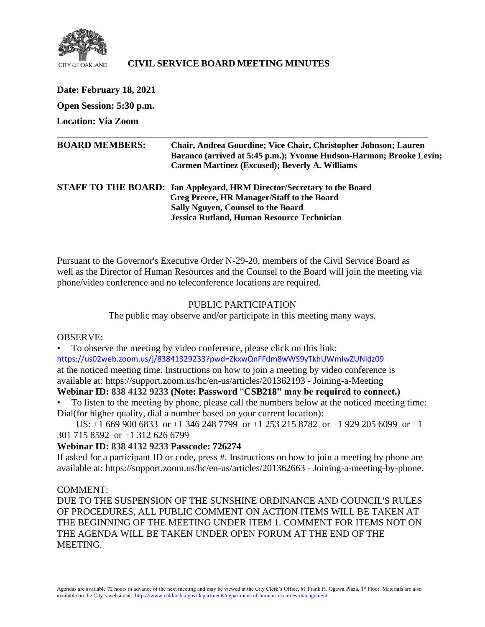

# **CIVIL SERVICE BOARD MEETING MINUTES**

**Date: February 18, 2021 Open Session: 5:30 p.m. Location: Via Zoom BOARD MEMBERS: Chair, Andrea Gourdine; Vice Chair, Christopher Johnson; Lauren Baranco (arrived at 5:45 p.m.); Yvonne Hudson-Harmon; Brooke Levin; Carmen Martinez (Excused); Beverly A. Williams STAFF TO THE BOARD: Ian Appleyard, HRM Director/Secretary to the Board Greg Preece, HR Manager/Staff to the Board Sally Nguyen, Counsel to the Board Jessica Rutland, Human Resource Technician**

Pursuant to the Governor's Executive Order N-29-20, members of the Civil Service Board as well as the Director of Human Resources and the Counsel to the Board will join the meeting via phone/video conference and no teleconference locations are required.

#### PUBLIC PARTICIPATION

The public may observe and/or participate in this meeting many ways.

#### OBSERVE:

• To observe the meeting by video conference, please click on this link: <https://us02web.zoom.us/j/83841329233?pwd=ZkxwQnFFdm8wWS9yTkhUWmIwZUNldz09> at the noticed meeting time. Instructions on how to join a meeting by video conference is

available at: https://support.zoom.us/hc/en-us/articles/201362193 - Joining-a-Meeting

# **Webinar ID: 838 4132 9233 (Note: Password** "**CSB218" may be required to connect.)**

• To listen to the meeting by phone, please call the numbers below at the noticed meeting time: Dial(for higher quality, dial a number based on your current location):

 US: +1 669 900 6833 or +1 346 248 7799 or +1 253 215 8782 or +1 929 205 6099 or +1 301 715 8592 or +1 312 626 6799

# **Webinar ID: 838 4132 9233 Passcode: 726274**

If asked for a participant ID or code, press #. Instructions on how to join a meeting by phone are available at: https://support.zoom.us/hc/en-us/articles/201362663 - Joining-a-meeting-by-phone.

#### COMMENT:

DUE TO THE SUSPENSION OF THE SUNSHINE ORDINANCE AND COUNCIL'S RULES OF PROCEDURES, ALL PUBLIC COMMENT ON ACTION ITEMS WILL BE TAKEN AT THE BEGINNING OF THE MEETING UNDER ITEM 1. COMMENT FOR ITEMS NOT ON THE AGENDA WILL BE TAKEN UNDER OPEN FORUM AT THE END OF THE MEETING.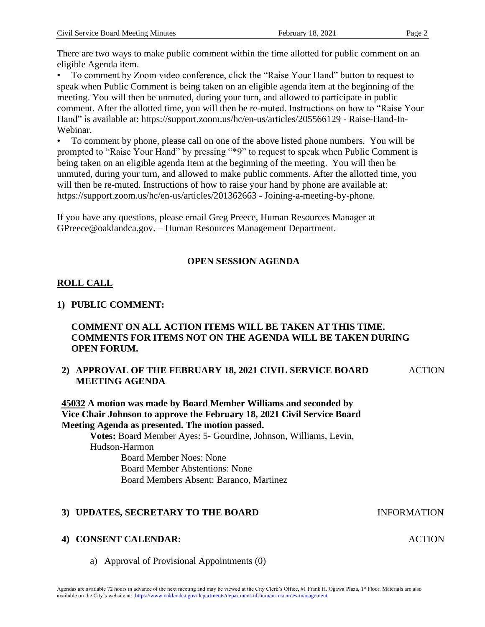There are two ways to make public comment within the time allotted for public comment on an eligible Agenda item.

• To comment by Zoom video conference, click the "Raise Your Hand" button to request to speak when Public Comment is being taken on an eligible agenda item at the beginning of the meeting. You will then be unmuted, during your turn, and allowed to participate in public comment. After the allotted time, you will then be re-muted. Instructions on how to "Raise Your Hand" is available at: https://support.zoom.us/hc/en-us/articles/205566129 - Raise-Hand-In-Webinar.

• To comment by phone, please call on one of the above listed phone numbers. You will be prompted to "Raise Your Hand" by pressing "\*9" to request to speak when Public Comment is being taken on an eligible agenda Item at the beginning of the meeting. You will then be unmuted, during your turn, and allowed to make public comments. After the allotted time, you will then be re-muted. Instructions of how to raise your hand by phone are available at: https://support.zoom.us/hc/en-us/articles/201362663 - Joining-a-meeting-by-phone.

If you have any questions, please email Greg Preece, Human Resources Manager at GPreece@oaklandca.gov. – Human Resources Management Department.

# **OPEN SESSION AGENDA**

# **ROLL CALL**

# **1) PUBLIC COMMENT:**

# **COMMENT ON ALL ACTION ITEMS WILL BE TAKEN AT THIS TIME. COMMENTS FOR ITEMS NOT ON THE AGENDA WILL BE TAKEN DURING OPEN FORUM.**

#### **2) APPROVAL OF THE FEBRUARY 18, 2021 CIVIL SERVICE BOARD MEETING AGENDA ACTION**

**45032 A motion was made by Board Member Williams and seconded by Vice Chair Johnson to approve the February 18, 2021 Civil Service Board Meeting Agenda as presented. The motion passed.**

**Votes:** Board Member Ayes: 5- Gourdine, Johnson, Williams, Levin, Hudson-Harmon Board Member Noes: None Board Member Abstentions: None Board Members Absent: Baranco, Martinez

#### **3) UPDATES, SECRETARY TO THE BOARD** INFORMATION

#### **4) CONSENT CALENDAR:**

a) Approval of Provisional Appointments (0)

**ACTION**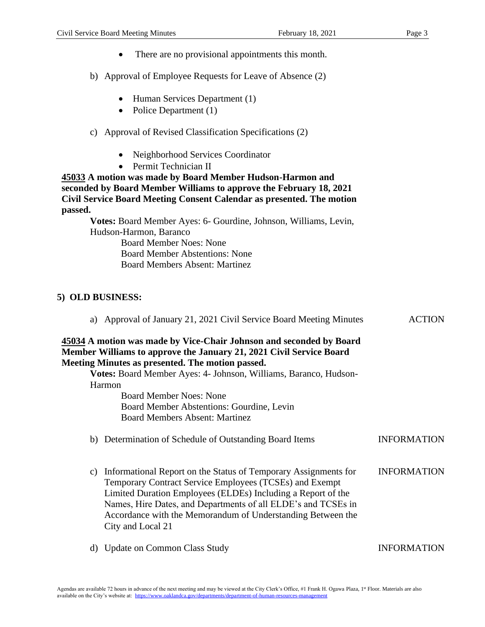- There are no provisional appointments this month.
- b) Approval of Employee Requests for Leave of Absence (2)
	- Human Services Department (1)
	- Police Department (1)
- c) Approval of Revised Classification Specifications (2)
	- Neighborhood Services Coordinator
	- Permit Technician II

**45033 A motion was made by Board Member Hudson-Harmon and seconded by Board Member Williams to approve the February 18, 2021 Civil Service Board Meeting Consent Calendar as presented. The motion passed.**

**Votes:** Board Member Ayes: 6- Gourdine, Johnson, Williams, Levin, Hudson-Harmon, Baranco

> Board Member Noes: None Board Member Abstentions: None Board Members Absent: Martinez

#### **5) OLD BUSINESS:**

| a) Approval of January 21, 2021 Civil Service Board Meeting Minutes                                                                                                                                                                                                                                                                                   | <b>ACTION</b>      |
|-------------------------------------------------------------------------------------------------------------------------------------------------------------------------------------------------------------------------------------------------------------------------------------------------------------------------------------------------------|--------------------|
| 45034 A motion was made by Vice-Chair Johnson and seconded by Board<br>Member Williams to approve the January 21, 2021 Civil Service Board<br>Meeting Minutes as presented. The motion passed.                                                                                                                                                        |                    |
| Votes: Board Member Ayes: 4- Johnson, Williams, Baranco, Hudson-                                                                                                                                                                                                                                                                                      |                    |
| Harmon                                                                                                                                                                                                                                                                                                                                                |                    |
| <b>Board Member Noes: None</b>                                                                                                                                                                                                                                                                                                                        |                    |
| Board Member Abstentions: Gourdine, Levin                                                                                                                                                                                                                                                                                                             |                    |
| <b>Board Members Absent: Martinez</b>                                                                                                                                                                                                                                                                                                                 |                    |
| b) Determination of Schedule of Outstanding Board Items                                                                                                                                                                                                                                                                                               | <b>INFORMATION</b> |
| Informational Report on the Status of Temporary Assignments for<br>C)<br>Temporary Contract Service Employees (TCSEs) and Exempt<br>Limited Duration Employees (ELDEs) Including a Report of the<br>Names, Hire Dates, and Departments of all ELDE's and TCSEs in<br>Accordance with the Memorandum of Understanding Between the<br>City and Local 21 | <b>INFORMATION</b> |
| <b>Update on Common Class Study</b><br>d)                                                                                                                                                                                                                                                                                                             | <b>INFORMATION</b> |